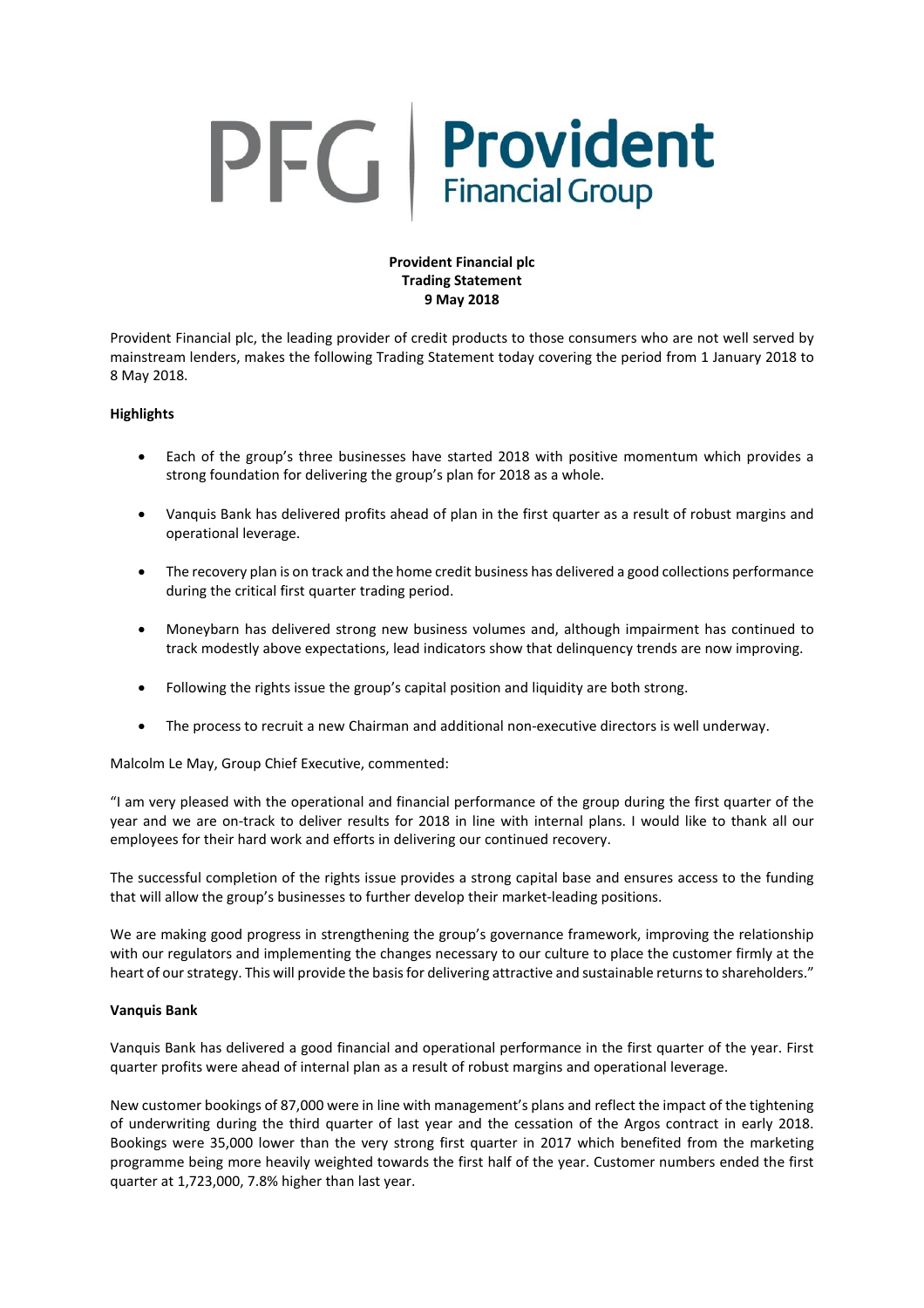# PFG Provident

## **Provident Financial plc Trading Statement 9 May 2018**

Provident Financial plc, the leading provider of credit products to those consumers who are not well served by mainstream lenders, makes the following Trading Statement today covering the period from 1 January 2018 to 8 May 2018.

# **Highlights**

- Each of the group's three businesses have started 2018 with positive momentum which provides a strong foundation for delivering the group's plan for 2018 as a whole.
- Vanquis Bank has delivered profits ahead of plan in the first quarter as a result of robust margins and operational leverage.
- The recovery plan is on track and the home credit business has delivered a good collections performance during the critical first quarter trading period.
- Moneybarn has delivered strong new business volumes and, although impairment has continued to track modestly above expectations, lead indicators show that delinquency trends are now improving.
- Following the rights issue the group's capital position and liquidity are both strong.
- The process to recruit a new Chairman and additional non-executive directors is well underway.

Malcolm Le May, Group Chief Executive, commented:

"I am very pleased with the operational and financial performance of the group during the first quarter of the year and we are on-track to deliver results for 2018 in line with internal plans. I would like to thank all our employees for their hard work and efforts in delivering our continued recovery.

The successful completion of the rights issue provides a strong capital base and ensures access to the funding that will allow the group's businesses to further develop their market-leading positions.

We are making good progress in strengthening the group's governance framework, improving the relationship with our regulators and implementing the changes necessary to our culture to place the customer firmly at the heart of our strategy. This will provide the basis for delivering attractive and sustainable returns to shareholders."

## **Vanquis Bank**

Vanquis Bank has delivered a good financial and operational performance in the first quarter of the year. First quarter profits were ahead of internal plan as a result of robust margins and operational leverage.

New customer bookings of 87,000 were in line with management's plans and reflect the impact of the tightening of underwriting during the third quarter of last year and the cessation of the Argos contract in early 2018. Bookings were 35,000 lower than the very strong first quarter in 2017 which benefited from the marketing programme being more heavily weighted towards the first half of the year. Customer numbers ended the first quarter at 1,723,000, 7.8% higher than last year.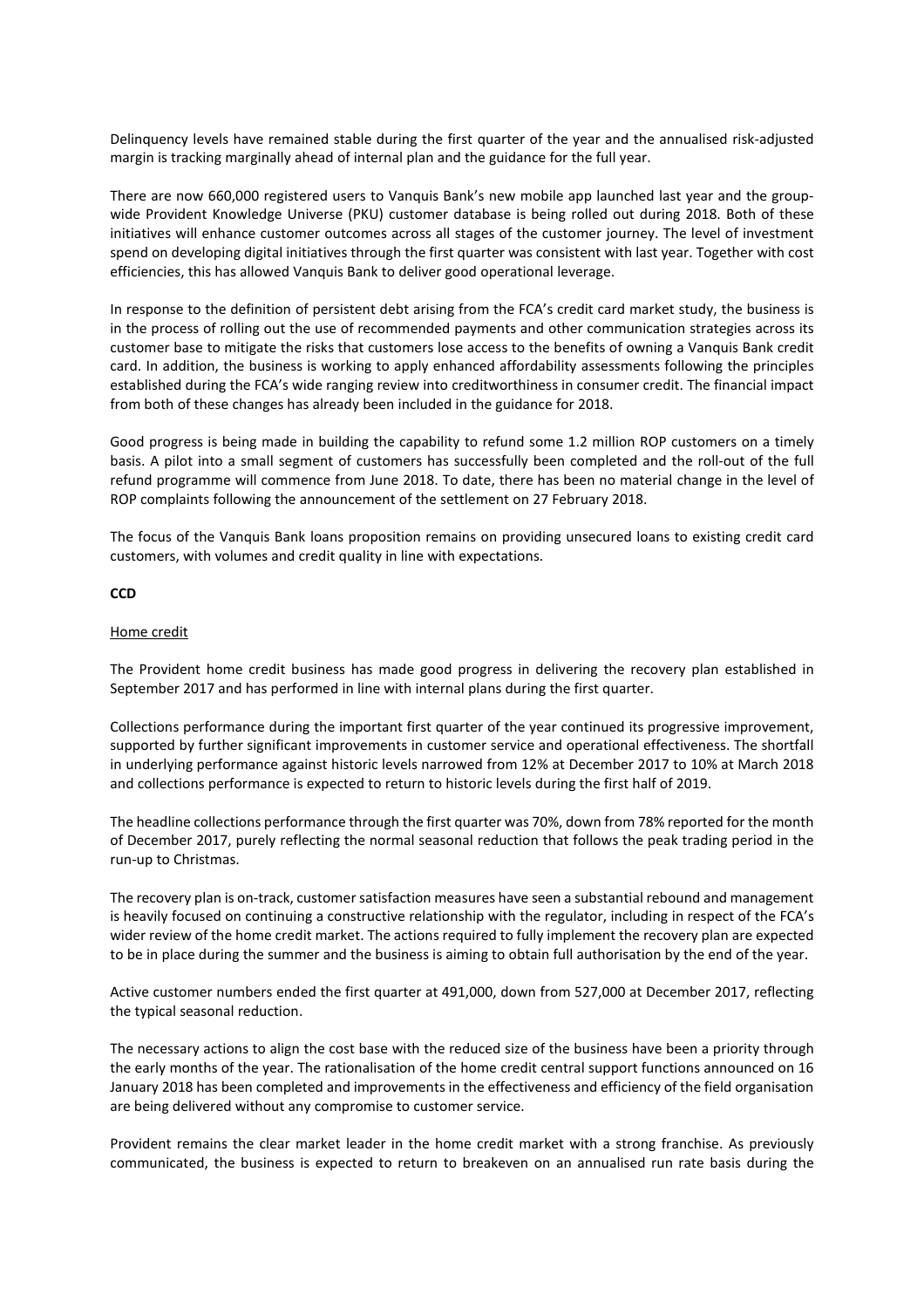Delinquency levels have remained stable during the first quarter of the year and the annualised risk-adjusted margin is tracking marginally ahead of internal plan and the guidance for the full year.

There are now 660,000 registered users to Vanquis Bank's new mobile app launched last year and the groupwide Provident Knowledge Universe (PKU) customer database is being rolled out during 2018. Both of these initiatives will enhance customer outcomes across all stages of the customer journey. The level of investment spend on developing digital initiatives through the first quarter was consistent with last year. Together with cost efficiencies, this has allowed Vanquis Bank to deliver good operational leverage.

In response to the definition of persistent debt arising from the FCA's credit card market study, the business is in the process of rolling out the use of recommended payments and other communication strategies across its customer base to mitigate the risks that customers lose access to the benefits of owning a Vanquis Bank credit card. In addition, the business is working to apply enhanced affordability assessments following the principles established during the FCA's wide ranging review into creditworthiness in consumer credit. The financial impact from both of these changes has already been included in the guidance for 2018.

Good progress is being made in building the capability to refund some 1.2 million ROP customers on a timely basis. A pilot into a small segment of customers has successfully been completed and the roll-out of the full refund programme will commence from June 2018. To date, there has been no material change in the level of ROP complaints following the announcement of the settlement on 27 February 2018.

The focus of the Vanquis Bank loans proposition remains on providing unsecured loans to existing credit card customers, with volumes and credit quality in line with expectations.

#### **CCD**

#### Home credit

The Provident home credit business has made good progress in delivering the recovery plan established in September 2017 and has performed in line with internal plans during the first quarter.

Collections performance during the important first quarter of the year continued its progressive improvement, supported by further significant improvements in customer service and operational effectiveness. The shortfall in underlying performance against historic levels narrowed from 12% at December 2017 to 10% at March 2018 and collections performance is expected to return to historic levels during the first half of 2019.

The headline collections performance through the first quarter was 70%, down from 78% reported for the month of December 2017, purely reflecting the normal seasonal reduction that follows the peak trading period in the run-up to Christmas.

The recovery plan is on-track, customer satisfaction measures have seen a substantial rebound and management is heavily focused on continuing a constructive relationship with the regulator, including in respect of the FCA's wider review of the home credit market. The actions required to fully implement the recovery plan are expected to be in place during the summer and the business is aiming to obtain full authorisation by the end of the year.

Active customer numbers ended the first quarter at 491,000, down from 527,000 at December 2017, reflecting the typical seasonal reduction.

The necessary actions to align the cost base with the reduced size of the business have been a priority through the early months of the year. The rationalisation of the home credit central support functions announced on 16 January 2018 has been completed and improvements in the effectiveness and efficiency of the field organisation are being delivered without any compromise to customer service.

Provident remains the clear market leader in the home credit market with a strong franchise. As previously communicated, the business is expected to return to breakeven on an annualised run rate basis during the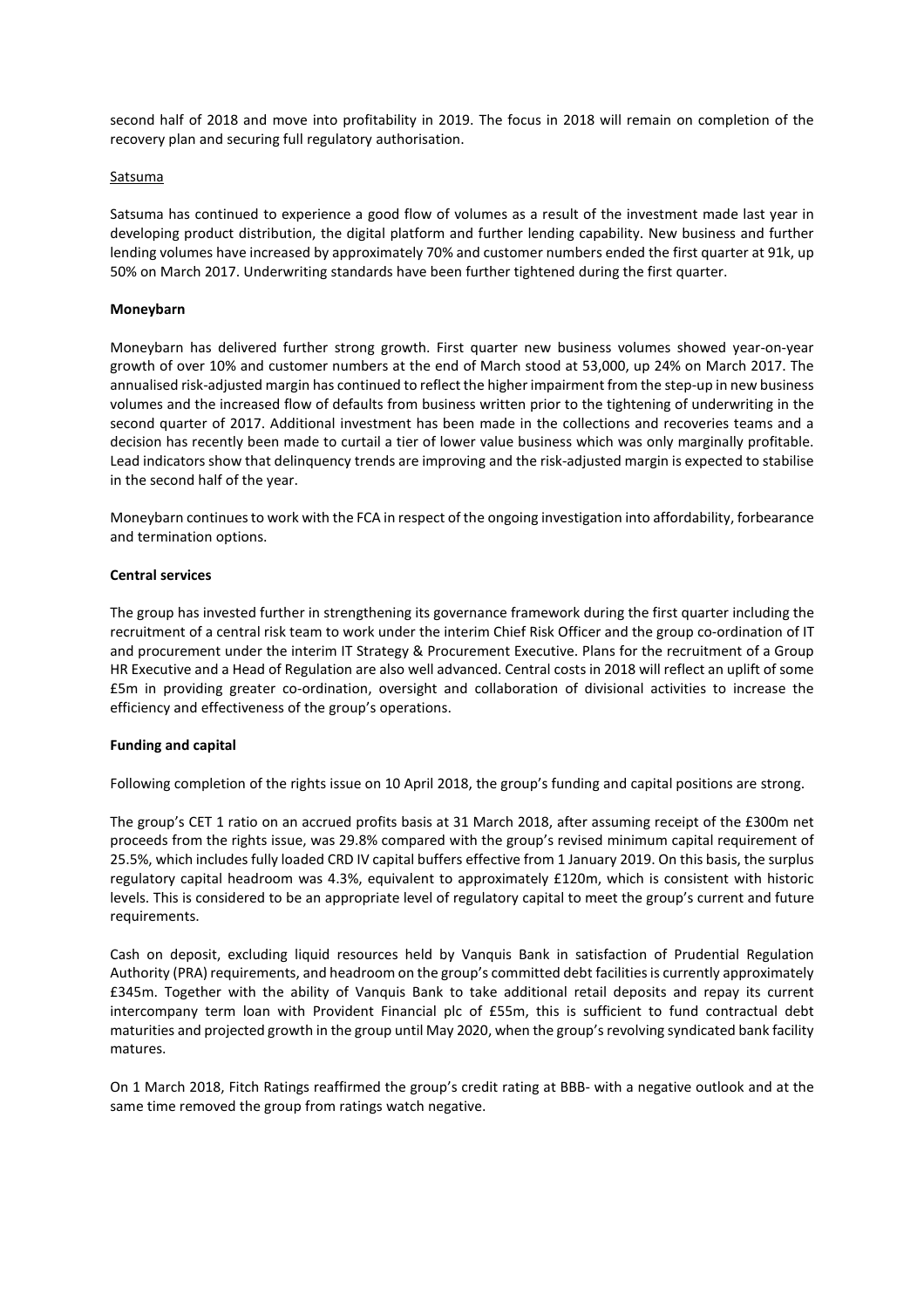second half of 2018 and move into profitability in 2019. The focus in 2018 will remain on completion of the recovery plan and securing full regulatory authorisation.

## **Satsuma**

Satsuma has continued to experience a good flow of volumes as a result of the investment made last year in developing product distribution, the digital platform and further lending capability. New business and further lending volumes have increased by approximately 70% and customer numbers ended the first quarter at 91k, up 50% on March 2017. Underwriting standards have been further tightened during the first quarter.

#### **Moneybarn**

Moneybarn has delivered further strong growth. First quarter new business volumes showed year-on-year growth of over 10% and customer numbers at the end of March stood at 53,000, up 24% on March 2017. The annualised risk-adjusted margin has continued to reflect the higher impairment from the step-up in new business volumes and the increased flow of defaults from business written prior to the tightening of underwriting in the second quarter of 2017. Additional investment has been made in the collections and recoveries teams and a decision has recently been made to curtail a tier of lower value business which was only marginally profitable. Lead indicators show that delinquency trends are improving and the risk-adjusted margin is expected to stabilise in the second half of the year.

Moneybarn continuesto work with the FCA in respect of the ongoing investigation into affordability, forbearance and termination options.

#### **Central services**

The group has invested further in strengthening its governance framework during the first quarter including the recruitment of a central risk team to work under the interim Chief Risk Officer and the group co-ordination of IT and procurement under the interim IT Strategy & Procurement Executive. Plans for the recruitment of a Group HR Executive and a Head of Regulation are also well advanced. Central costs in 2018 will reflect an uplift of some £5m in providing greater co-ordination, oversight and collaboration of divisional activities to increase the efficiency and effectiveness of the group's operations.

#### **Funding and capital**

Following completion of the rights issue on 10 April 2018, the group's funding and capital positions are strong.

The group's CET 1 ratio on an accrued profits basis at 31 March 2018, after assuming receipt of the £300m net proceeds from the rights issue, was 29.8% compared with the group's revised minimum capital requirement of 25.5%, which includes fully loaded CRD IV capital buffers effective from 1 January 2019. On this basis, the surplus regulatory capital headroom was 4.3%, equivalent to approximately £120m, which is consistent with historic levels. This is considered to be an appropriate level of regulatory capital to meet the group's current and future requirements.

Cash on deposit, excluding liquid resources held by Vanquis Bank in satisfaction of Prudential Regulation Authority (PRA) requirements, and headroom on the group's committed debt facilitiesis currently approximately £345m. Together with the ability of Vanquis Bank to take additional retail deposits and repay its current intercompany term loan with Provident Financial plc of £55m, this is sufficient to fund contractual debt maturities and projected growth in the group until May 2020, when the group'srevolving syndicated bank facility matures.

On 1 March 2018, Fitch Ratings reaffirmed the group's credit rating at BBB- with a negative outlook and at the same time removed the group from ratings watch negative.